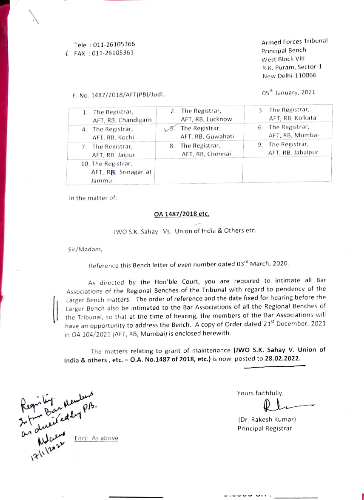Tele :011-26105366  $FAX : 011-26105361$  Principal Bench

F. No. 1487/2018/AFT(PB)/Judl. 2021 2021

Armed Forces Tribunal West Block VII R.K. Puram, Sector-1 New Delhi-110066

| 1. The Registrar,                                    | 2. The Registrar,                        | 3. The Registrar,                         |
|------------------------------------------------------|------------------------------------------|-------------------------------------------|
| AFT, RB, Chandigarh                                  | AFT, RB, Lucknow                         | AFT, RB, Kolkata                          |
| 4. The Registrar,                                    | The Registrar,                           | 6. The Registrar,                         |
| AFT, RB, Kochi                                       | AFT, RB, Guwahati                        | AFT, RB, Mumbai                           |
| 7. The Registrar,<br>AFT, RB, Jaipur                 | The Registrar,<br>8.<br>AFT, RB, Chennai | The Registrar,<br>9.<br>AFT, RB, Jabalpur |
| 10. The Registrar,<br>AFT, RB, Srinagar at<br>Jammu. |                                          |                                           |

In the matter of:

#### OA 1487/2018 etc.

JWO S.K. Sahay Vs. Union of India & Others etc.

Sir/Madam,

Reference this Bench letter of even number dated 03rd March, 2020.

As directed by the Hon'ble Court, you are required to intimate all Bar Associations of the Regional Benches of the Tribunal with regard to pendency ot the Larger Bench matters. The order of reference and the date fixed tor hearing betore the Larger Bench also be intimated to the Bar Associations of all the Regional Benches of the Tribunal, so that at the time of hearing. the members of the Bar ASsociations will have an opportunity to address the Bench. A copy of Order dated 21" December, 2021 in OA 104/2021 (AFT, RB, Mumbai) is enclosed herewith.

The matters relating to grant of maintenance (Jwo S.K. Sahay V. Union of India & others , etc. -0.A. No.1487 of 2018, etc.) is now posted to 28.02.2022.

Regn by Memops. Encl: As above  $f(x) = \frac{1}{2}$ 

Yours faithfully,

\*

(Dr. Rakesh Kumar) Principal Registrar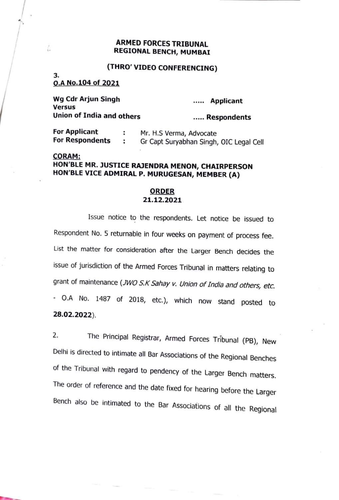### ARMED FORCES TRIBUNAL REGIONAL BENCH, MUMBAI

# (THRO' VIDEO CONFERENCING)

# 3.<br>0.A No.104 of 2021

l.

| Wg Cdr Arjun Singh<br>Versus | Applicant   |
|------------------------------|-------------|
| Union of India and others    | Respondents |

| For Applicant          | Mr. H.S Verma, Advocate                 |
|------------------------|-----------------------------------------|
| <b>For Respondents</b> | Gr Capt Suryabhan Singh, OIC Legal Cell |

## cORAM: HON'BLE MR. JUSTICE RAJENDRA MENON, CHAIRPERSON HON'BLE VICE ADMIRAL P. MURUGESAN, MEMBER (A)

### **ORDER** 21.12.2021

Issue notice to the respondents. Let notice be issued to Respondent No. 5 returnable in four weeks on payment of process fee. List the matter for consideration after the Larger Bench decides the issue of jurisdiction of the Armed Forces Tribunal in matters relating to grant of maintenance (JWO S.K Sahay v. Union of India and others, etc. -O.A No. 1487 of 2018, etc.), which now stand posted to 28.02.2022).

2. The Principal Registrar, Armed Forces Tribunal (PB), New Delhi is directed to intimate all Bar Associations of the Regional Benches of the Tribunal with regard to pendency of the Larger Bench matters. The order of reference and the date fixed for hearing before the Larger Bench also be intimated to the Bar Associations of all the Regional